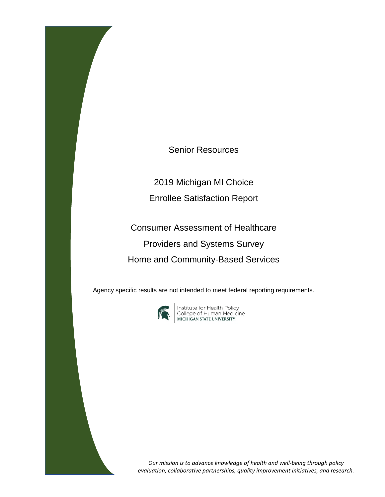Senior Resources

2019 Michigan MI Choice Enrollee Satisfaction Report

Consumer Assessment of Healthcare Providers and Systems Survey Home and Community-Based Services

Agency specific results are not intended to meet federal reporting requirements.



**Institute for Health Policy<br>College of Human Medicine<br>MICHIGAN STATE UNIVERSITY** 

*Our mission is to advance knowledge of health and well-being through policy evaluation, collaborative partnerships, quality improvement initiatives, and research.*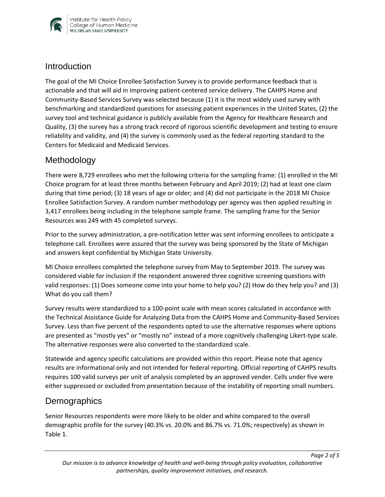

#### **Introduction**

The goal of the MI Choice Enrollee Satisfaction Survey is to provide performance feedback that is actionable and that will aid in improving patient-centered service delivery. The CAHPS Home and Community-Based Services Survey was selected because (1) it is the most widely used survey with benchmarking and standardized questions for assessing patient experiences in the United States, (2) the survey tool and technical guidance is publicly available from the Agency for Healthcare Research and Quality, (3) the survey has a strong track record of rigorous scientific development and testing to ensure reliability and validity, and (4) the survey is commonly used as the federal reporting standard to the Centers for Medicaid and Medicaid Services.

# Methodology

There were 8,729 enrollees who met the following criteria for the sampling frame: (1) enrolled in the MI Choice program for at least three months between February and April 2019; (2) had at least one claim during that time period; (3) 18 years of age or older; and (4) did not participate in the 2018 MI Choice Enrollee Satisfaction Survey. A random number methodology per agency was then applied resulting in 3,417 enrollees being including in the telephone sample frame. The sampling frame for the Senior Resources was 249 with 45 completed surveys.

Prior to the survey administration, a pre-notification letter was sent informing enrollees to anticipate a telephone call. Enrollees were assured that the survey was being sponsored by the State of Michigan and answers kept confidential by Michigan State University.

MI Choice enrollees completed the telephone survey from May to September 2019. The survey was considered viable for inclusion if the respondent answered three cognitive screening questions with valid responses: (1) Does someone come into your home to help you? (2) How do they help you? and (3) What do you call them?

Survey results were standardized to a 100-point scale with mean scores calculated in accordance with the Technical Assistance Guide for Analyzing Data from the CAHPS Home and Community-Based Services Survey. Less than five percent of the respondents opted to use the alternative responses where options are presented as "mostly yes" or "mostly no" instead of a more cognitively challenging Likert-type scale. The alternative responses were also converted to the standardized scale.

Statewide and agency specific calculations are provided within this report. Please note that agency results are informational only and not intended for federal reporting. Official reporting of CAHPS results requires 100 valid surveys per unit of analysis completed by an approved vender. Cells under five were either suppressed or excluded from presentation because of the instability of reporting small numbers.

# **Demographics**

Senior Resources respondents were more likely to be older and white compared to the overall demographic profile for the survey (40.3% vs. 20.0% and 86.7% vs. 71.0%; respectively) as shown in Table 1.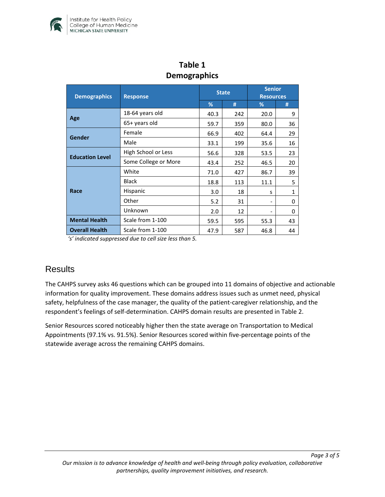

| pennygrupnies          |                      |              |     |                                   |              |  |  |
|------------------------|----------------------|--------------|-----|-----------------------------------|--------------|--|--|
| <b>Demographics</b>    | <b>Response</b>      | <b>State</b> |     | <b>Senior</b><br><b>Resources</b> |              |  |  |
|                        |                      | %            | #   | %                                 | #            |  |  |
| Age                    | 18-64 years old      | 40.3         | 242 | 20.0                              | 9            |  |  |
|                        | 65+ years old        | 59.7         | 359 | 80.0                              | 36           |  |  |
| Gender                 | Female               | 66.9         | 402 | 64.4                              | 29           |  |  |
|                        | Male                 | 33.1         | 199 | 35.6                              | 16           |  |  |
| <b>Education Level</b> | High School or Less  | 56.6         | 328 | 53.5                              | 23           |  |  |
|                        | Some College or More | 43.4         | 252 | 46.5                              | 20           |  |  |
| Race                   | White                | 71.0         | 427 | 86.7                              | 39           |  |  |
|                        | <b>Black</b>         | 18.8         | 113 | 11.1                              | 5            |  |  |
|                        | Hispanic             | 3.0          | 18  | S                                 | $\mathbf{1}$ |  |  |
|                        | Other                | 5.2          | 31  |                                   | 0            |  |  |
|                        | Unknown              | 2.0          | 12  |                                   | 0            |  |  |
| <b>Mental Health</b>   | Scale from 1-100     | 59.5         | 595 | 55.3                              | 43           |  |  |
| <b>Overall Health</b>  | Scale from 1-100     | 47.9         | 587 | 46.8                              | 44           |  |  |

# **Table 1 Demographics**

*'s' indicated suppressed due to cell size less than 5.* 

# **Results**

The CAHPS survey asks 46 questions which can be grouped into 11 domains of objective and actionable information for quality improvement. These domains address issues such as unmet need, physical safety, helpfulness of the case manager, the quality of the patient-caregiver relationship, and the respondent's feelings of self-determination. CAHPS domain results are presented in Table 2.

Senior Resources scored noticeably higher then the state average on Transportation to Medical Appointments (97.1% vs. 91.5%). Senior Resources scored within five-percentage points of the statewide average across the remaining CAHPS domains.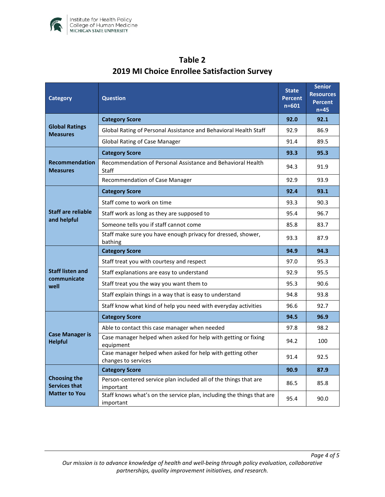

| <b>Category</b>                                                     | <b>Question</b>                                                                    |      | <b>Senior</b><br><b>Resources</b><br><b>Percent</b><br>$n=45$ |
|---------------------------------------------------------------------|------------------------------------------------------------------------------------|------|---------------------------------------------------------------|
| <b>Global Ratings</b><br><b>Measures</b>                            | <b>Category Score</b>                                                              |      | 92.1                                                          |
|                                                                     | Global Rating of Personal Assistance and Behavioral Health Staff                   |      | 86.9                                                          |
|                                                                     | <b>Global Rating of Case Manager</b>                                               |      | 89.5                                                          |
| <b>Recommendation</b><br><b>Measures</b>                            | <b>Category Score</b>                                                              |      | 95.3                                                          |
|                                                                     | Recommendation of Personal Assistance and Behavioral Health<br><b>Staff</b>        |      | 91.9                                                          |
|                                                                     | Recommendation of Case Manager                                                     | 92.9 | 93.9                                                          |
| Staff are reliable<br>and helpful                                   | <b>Category Score</b>                                                              | 92.4 | 93.1                                                          |
|                                                                     | Staff come to work on time                                                         | 93.3 | 90.3                                                          |
|                                                                     | Staff work as long as they are supposed to                                         |      | 96.7                                                          |
|                                                                     | Someone tells you if staff cannot come                                             | 85.8 | 83.7                                                          |
|                                                                     | Staff make sure you have enough privacy for dressed, shower,<br>bathing            | 93.3 | 87.9                                                          |
| <b>Staff listen and</b><br>communicate<br>well                      | <b>Category Score</b>                                                              | 94.9 | 94.3                                                          |
|                                                                     | Staff treat you with courtesy and respect                                          | 97.0 | 95.3                                                          |
|                                                                     | Staff explanations are easy to understand                                          |      | 95.5                                                          |
|                                                                     | Staff treat you the way you want them to                                           |      | 90.6                                                          |
|                                                                     | Staff explain things in a way that is easy to understand                           | 94.8 | 93.8                                                          |
|                                                                     | Staff know what kind of help you need with everyday activities                     | 96.6 | 92.7                                                          |
| <b>Case Manager is</b><br><b>Helpful</b>                            | <b>Category Score</b>                                                              | 94.5 | 96.9                                                          |
|                                                                     | Able to contact this case manager when needed                                      | 97.8 | 98.2                                                          |
|                                                                     | Case manager helped when asked for help with getting or fixing<br>equipment        |      | 100                                                           |
|                                                                     | Case manager helped when asked for help with getting other<br>changes to services  |      | 92.5                                                          |
| <b>Choosing the</b><br><b>Services that</b><br><b>Matter to You</b> | <b>Category Score</b>                                                              | 90.9 | 87.9                                                          |
|                                                                     | Person-centered service plan included all of the things that are<br>important      |      | 85.8                                                          |
|                                                                     | Staff knows what's on the service plan, including the things that are<br>important | 95.4 | 90.0                                                          |

# **Table 2 2019 MI Choice Enrollee Satisfaction Survey**